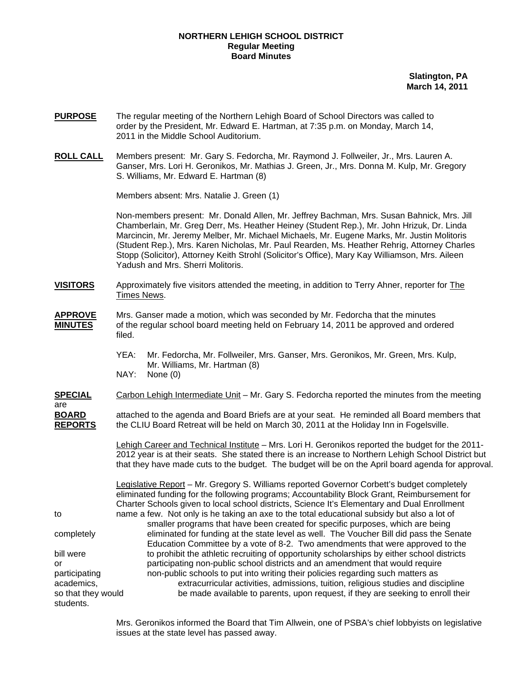## **NORTHERN LEHIGH SCHOOL DISTRICT Regular Meeting Board Minutes**

**Slatington, PA March 14, 2011**

- **PURPOSE** The regular meeting of the Northern Lehigh Board of School Directors was called to order by the President, Mr. Edward E. Hartman, at 7:35 p.m. on Monday, March 14, 2011 in the Middle School Auditorium.
- **ROLL CALL** Members present: Mr. Gary S. Fedorcha, Mr. Raymond J. Follweiler, Jr., Mrs. Lauren A. Ganser, Mrs. Lori H. Geronikos, Mr. Mathias J. Green, Jr., Mrs. Donna M. Kulp, Mr. Gregory S. Williams, Mr. Edward E. Hartman (8)

Members absent: Mrs. Natalie J. Green (1)

students.

Non-members present: Mr. Donald Allen, Mr. Jeffrey Bachman, Mrs. Susan Bahnick, Mrs. Jill Chamberlain, Mr. Greg Derr, Ms. Heather Heiney (Student Rep.), Mr. John Hrizuk, Dr. Linda Marcincin, Mr. Jeremy Melber, Mr. Michael Michaels, Mr. Eugene Marks, Mr. Justin Molitoris (Student Rep.), Mrs. Karen Nicholas, Mr. Paul Rearden, Ms. Heather Rehrig, Attorney Charles Stopp (Solicitor), Attorney Keith Strohl (Solicitor's Office), Mary Kay Williamson, Mrs. Aileen Yadush and Mrs. Sherri Molitoris.

- **VISITORS** Approximately five visitors attended the meeting, in addition to Terry Ahner, reporter for The Times News.
- **APPROVE** Mrs. Ganser made a motion, which was seconded by Mr. Fedorcha that the minutes **MINUTES** of the regular school board meeting held on February 14, 2011 be approved and ordered filed.
	- YEA: Mr. Fedorcha, Mr. Follweiler, Mrs. Ganser, Mrs. Geronikos, Mr. Green, Mrs. Kulp, Mr. Williams, Mr. Hartman (8) NAY: None (0)
- **SPECIAL** Carbon Lehigh Intermediate Unit Mr. Gary S. Fedorcha reported the minutes from the meeting are

**BOARD** attached to the agenda and Board Briefs are at your seat. He reminded all Board members that **REPORTS** the CLIU Board Retreat will be held on March 30, 2011 at the Holiday Inn in Fogelsville.

> Lehigh Career and Technical Institute – Mrs. Lori H. Geronikos reported the budget for the 2011-2012 year is at their seats. She stated there is an increase to Northern Lehigh School District but that they have made cuts to the budget. The budget will be on the April board agenda for approval.

 Legislative Report – Mr. Gregory S. Williams reported Governor Corbett's budget completely eliminated funding for the following programs; Accountability Block Grant, Reimbursement for Charter Schools given to local school districts, Science It's Elementary and Dual Enrollment to name a few. Not only is he taking an axe to the total educational subsidy but also a lot of smaller programs that have been created for specific purposes, which are being completely eliminated for funding at the state level as well. The Voucher Bill did pass the Senate Education Committee by a vote of 8-2. Two amendments that were approved to the bill were to prohibit the athletic recruiting of opportunity scholarships by either school districts or participating non-public school districts and an amendment that would require participating non-public schools to put into writing their policies regarding such matters as academics, extracurricular activities, admissions, tuition, religious studies and discipline so that they would be made available to parents, upon request, if they are seeking to enroll their

> Mrs. Geronikos informed the Board that Tim Allwein, one of PSBA's chief lobbyists on legislative issues at the state level has passed away.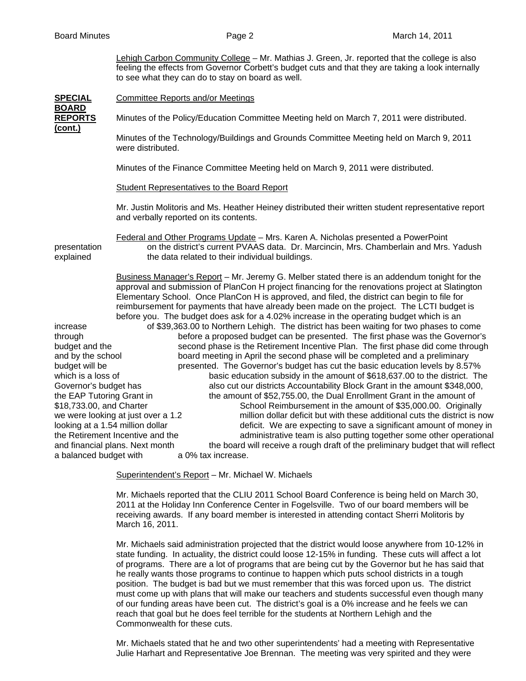Lehigh Carbon Community College – Mr. Mathias J. Green, Jr. reported that the college is also feeling the effects from Governor Corbett's budget cuts and that they are taking a look internally to see what they can do to stay on board as well.

| <b>SPECIAL</b>                                                                                                                                                                                                                 | <b>Committee Reports and/or Meetings</b>                                                                                                                                                                                                                                                                                                                                                                                                                                                  |  |
|--------------------------------------------------------------------------------------------------------------------------------------------------------------------------------------------------------------------------------|-------------------------------------------------------------------------------------------------------------------------------------------------------------------------------------------------------------------------------------------------------------------------------------------------------------------------------------------------------------------------------------------------------------------------------------------------------------------------------------------|--|
| <b>BOARD</b><br><b>REPORTS</b><br>(cont.)                                                                                                                                                                                      | Minutes of the Policy/Education Committee Meeting held on March 7, 2011 were distributed.                                                                                                                                                                                                                                                                                                                                                                                                 |  |
|                                                                                                                                                                                                                                | Minutes of the Technology/Buildings and Grounds Committee Meeting held on March 9, 2011<br>were distributed.                                                                                                                                                                                                                                                                                                                                                                              |  |
|                                                                                                                                                                                                                                | Minutes of the Finance Committee Meeting held on March 9, 2011 were distributed.                                                                                                                                                                                                                                                                                                                                                                                                          |  |
|                                                                                                                                                                                                                                | <b>Student Representatives to the Board Report</b>                                                                                                                                                                                                                                                                                                                                                                                                                                        |  |
|                                                                                                                                                                                                                                | Mr. Justin Molitoris and Ms. Heather Heiney distributed their written student representative report<br>and verbally reported on its contents.                                                                                                                                                                                                                                                                                                                                             |  |
| presentation<br>explained                                                                                                                                                                                                      | Federal and Other Programs Update - Mrs. Karen A. Nicholas presented a PowerPoint<br>on the district's current PVAAS data. Dr. Marcincin, Mrs. Chamberlain and Mrs. Yadush<br>the data related to their individual buildings.                                                                                                                                                                                                                                                             |  |
|                                                                                                                                                                                                                                | Business Manager's Report - Mr. Jeremy G. Melber stated there is an addendum tonight for the<br>approval and submission of PlanCon H project financing for the renovations project at Slatington<br>Elementary School. Once PlanCon H is approved, and filed, the district can begin to file for<br>reimbursement for payments that have already been made on the project. The LCTI budget is<br>before you. The budget does ask for a 4.02% increase in the operating budget which is an |  |
| increase                                                                                                                                                                                                                       | of \$39,363.00 to Northern Lehigh. The district has been waiting for two phases to come                                                                                                                                                                                                                                                                                                                                                                                                   |  |
| through                                                                                                                                                                                                                        | before a proposed budget can be presented. The first phase was the Governor's                                                                                                                                                                                                                                                                                                                                                                                                             |  |
| budget and the                                                                                                                                                                                                                 | second phase is the Retirement Incentive Plan. The first phase did come through                                                                                                                                                                                                                                                                                                                                                                                                           |  |
| and by the school<br>budget will be                                                                                                                                                                                            | board meeting in April the second phase will be completed and a preliminary                                                                                                                                                                                                                                                                                                                                                                                                               |  |
| which is a loss of                                                                                                                                                                                                             | presented. The Governor's budget has cut the basic education levels by 8.57%<br>basic education subsidy in the amount of \$618,637.00 to the district. The                                                                                                                                                                                                                                                                                                                                |  |
| Governor's budget has                                                                                                                                                                                                          | also cut our districts Accountability Block Grant in the amount \$348,000,                                                                                                                                                                                                                                                                                                                                                                                                                |  |
| the EAP Tutoring Grant in                                                                                                                                                                                                      | the amount of \$52,755.00, the Dual Enrollment Grant in the amount of                                                                                                                                                                                                                                                                                                                                                                                                                     |  |
| \$18,733.00, and Charter                                                                                                                                                                                                       | School Reimbursement in the amount of \$35,000.00. Originally                                                                                                                                                                                                                                                                                                                                                                                                                             |  |
| we were looking at just over a 1.2<br>million dollar deficit but with these additional cuts the district is now                                                                                                                |                                                                                                                                                                                                                                                                                                                                                                                                                                                                                           |  |
| looking at a 1.54 million dollar<br>deficit. We are expecting to save a significant amount of money in                                                                                                                         |                                                                                                                                                                                                                                                                                                                                                                                                                                                                                           |  |
| the Retirement Incentive and the<br>administrative team is also putting together some other operational<br>the board will receive a rough draft of the preliminary budget that will reflect<br>and financial plans. Next month |                                                                                                                                                                                                                                                                                                                                                                                                                                                                                           |  |
| a balanced budget with<br>a 0% tax increase.                                                                                                                                                                                   |                                                                                                                                                                                                                                                                                                                                                                                                                                                                                           |  |
|                                                                                                                                                                                                                                |                                                                                                                                                                                                                                                                                                                                                                                                                                                                                           |  |

Superintendent's Report – Mr. Michael W. Michaels

Mr. Michaels reported that the CLIU 2011 School Board Conference is being held on March 30, 2011 at the Holiday Inn Conference Center in Fogelsville. Two of our board members will be receiving awards. If any board member is interested in attending contact Sherri Molitoris by March 16, 2011.

Mr. Michaels said administration projected that the district would loose anywhere from 10-12% in state funding. In actuality, the district could loose 12-15% in funding. These cuts will affect a lot of programs. There are a lot of programs that are being cut by the Governor but he has said that he really wants those programs to continue to happen which puts school districts in a tough position. The budget is bad but we must remember that this was forced upon us. The district must come up with plans that will make our teachers and students successful even though many of our funding areas have been cut. The district's goal is a 0% increase and he feels we can reach that goal but he does feel terrible for the students at Northern Lehigh and the Commonwealth for these cuts.

Mr. Michaels stated that he and two other superintendents' had a meeting with Representative Julie Harhart and Representative Joe Brennan. The meeting was very spirited and they were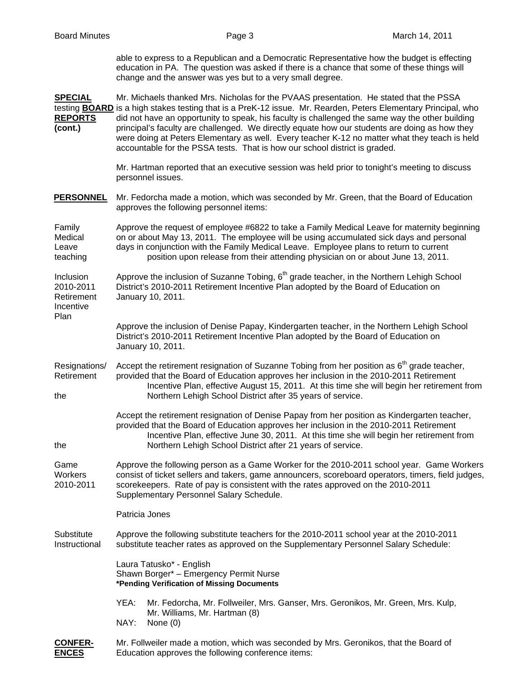able to express to a Republican and a Democratic Representative how the budget is effecting education in PA. The question was asked if there is a chance that some of these things will change and the answer was yes but to a very small degree.

| <b>SPECIAL</b><br><b>REPORTS</b><br>(cont.)       | Mr. Michaels thanked Mrs. Nicholas for the PVAAS presentation. He stated that the PSSA<br>testing <b>BOARD</b> is a high stakes testing that is a PreK-12 issue. Mr. Rearden, Peters Elementary Principal, who<br>did not have an opportunity to speak, his faculty is challenged the same way the other building<br>principal's faculty are challenged. We directly equate how our students are doing as how they<br>were doing at Peters Elementary as well. Every teacher K-12 no matter what they teach is held<br>accountable for the PSSA tests. That is how our school district is graded. |
|---------------------------------------------------|---------------------------------------------------------------------------------------------------------------------------------------------------------------------------------------------------------------------------------------------------------------------------------------------------------------------------------------------------------------------------------------------------------------------------------------------------------------------------------------------------------------------------------------------------------------------------------------------------|
|                                                   | Mr. Hartman reported that an executive session was held prior to tonight's meeting to discuss<br>personnel issues.                                                                                                                                                                                                                                                                                                                                                                                                                                                                                |
| <b>PERSONNEL</b>                                  | Mr. Fedorcha made a motion, which was seconded by Mr. Green, that the Board of Education<br>approves the following personnel items:                                                                                                                                                                                                                                                                                                                                                                                                                                                               |
| Family<br>Medical<br>Leave<br>teaching            | Approve the request of employee #6822 to take a Family Medical Leave for maternity beginning<br>on or about May 13, 2011. The employee will be using accumulated sick days and personal<br>days in conjunction with the Family Medical Leave. Employee plans to return to current<br>position upon release from their attending physician on or about June 13, 2011.                                                                                                                                                                                                                              |
| Inclusion<br>2010-2011<br>Retirement<br>Incentive | Approve the inclusion of Suzanne Tobing, 6 <sup>th</sup> grade teacher, in the Northern Lehigh School<br>District's 2010-2011 Retirement Incentive Plan adopted by the Board of Education on<br>January 10, 2011.                                                                                                                                                                                                                                                                                                                                                                                 |
| Plan                                              | Approve the inclusion of Denise Papay, Kindergarten teacher, in the Northern Lehigh School<br>District's 2010-2011 Retirement Incentive Plan adopted by the Board of Education on<br>January 10, 2011.                                                                                                                                                                                                                                                                                                                                                                                            |
| Resignations/<br>Retirement<br>the                | Accept the retirement resignation of Suzanne Tobing from her position as 6 <sup>th</sup> grade teacher,<br>provided that the Board of Education approves her inclusion in the 2010-2011 Retirement<br>Incentive Plan, effective August 15, 2011. At this time she will begin her retirement from<br>Northern Lehigh School District after 35 years of service.                                                                                                                                                                                                                                    |
| the                                               | Accept the retirement resignation of Denise Papay from her position as Kindergarten teacher,<br>provided that the Board of Education approves her inclusion in the 2010-2011 Retirement<br>Incentive Plan, effective June 30, 2011. At this time she will begin her retirement from<br>Northern Lehigh School District after 21 years of service.                                                                                                                                                                                                                                                 |
| Game<br>Workers<br>2010-2011                      | Approve the following person as a Game Worker for the 2010-2011 school year. Game Workers<br>consist of ticket sellers and takers, game announcers, scoreboard operators, timers, field judges,<br>scorekeepers. Rate of pay is consistent with the rates approved on the 2010-2011<br>Supplementary Personnel Salary Schedule.                                                                                                                                                                                                                                                                   |
|                                                   | Patricia Jones                                                                                                                                                                                                                                                                                                                                                                                                                                                                                                                                                                                    |
| Substitute<br>Instructional                       | Approve the following substitute teachers for the 2010-2011 school year at the 2010-2011<br>substitute teacher rates as approved on the Supplementary Personnel Salary Schedule:                                                                                                                                                                                                                                                                                                                                                                                                                  |
|                                                   | Laura Tatusko* - English<br>Shawn Borger* - Emergency Permit Nurse<br>*Pending Verification of Missing Documents                                                                                                                                                                                                                                                                                                                                                                                                                                                                                  |
|                                                   | Mr. Fedorcha, Mr. Follweiler, Mrs. Ganser, Mrs. Geronikos, Mr. Green, Mrs. Kulp,<br>YEA:<br>Mr. Williams, Mr. Hartman (8)<br>NAY:<br>None $(0)$                                                                                                                                                                                                                                                                                                                                                                                                                                                   |
| <b>CONFER-</b>                                    | Mr. Follweiler made a motion, which was seconded by Mrs. Geronikos, that the Board of                                                                                                                                                                                                                                                                                                                                                                                                                                                                                                             |

**NCES** Education approves the following conference items: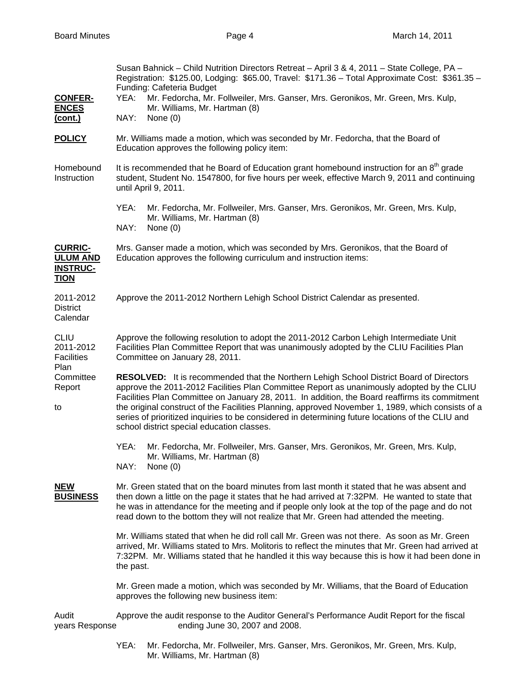| <b>CONFER-</b><br><b>ENCES</b><br><u>(cont.)</u>                    | Susan Bahnick - Child Nutrition Directors Retreat - April 3 & 4, 2011 - State College, PA -<br>Registration: \$125.00, Lodging: \$65.00, Travel: \$171.36 - Total Approximate Cost: \$361.35 -<br>Funding: Cafeteria Budget<br>Mr. Fedorcha, Mr. Follweiler, Mrs. Ganser, Mrs. Geronikos, Mr. Green, Mrs. Kulp,<br>YEA:<br>Mr. Williams, Mr. Hartman (8)<br>NAY:<br>None $(0)$                                                                                                                                                                       |
|---------------------------------------------------------------------|------------------------------------------------------------------------------------------------------------------------------------------------------------------------------------------------------------------------------------------------------------------------------------------------------------------------------------------------------------------------------------------------------------------------------------------------------------------------------------------------------------------------------------------------------|
| <b>POLICY</b>                                                       | Mr. Williams made a motion, which was seconded by Mr. Fedorcha, that the Board of<br>Education approves the following policy item:                                                                                                                                                                                                                                                                                                                                                                                                                   |
| Homebound<br>Instruction                                            | It is recommended that he Board of Education grant homebound instruction for an 8 <sup>th</sup> grade<br>student, Student No. 1547800, for five hours per week, effective March 9, 2011 and continuing<br>until April 9, 2011.                                                                                                                                                                                                                                                                                                                       |
|                                                                     | YEA:<br>Mr. Fedorcha, Mr. Follweiler, Mrs. Ganser, Mrs. Geronikos, Mr. Green, Mrs. Kulp,<br>Mr. Williams, Mr. Hartman (8)<br>NAY:<br>None $(0)$                                                                                                                                                                                                                                                                                                                                                                                                      |
| <b>CURRIC-</b><br><b>ULUM AND</b><br><b>INSTRUC-</b><br><b>TION</b> | Mrs. Ganser made a motion, which was seconded by Mrs. Geronikos, that the Board of<br>Education approves the following curriculum and instruction items:                                                                                                                                                                                                                                                                                                                                                                                             |
| 2011-2012<br><b>District</b><br>Calendar                            | Approve the 2011-2012 Northern Lehigh School District Calendar as presented.                                                                                                                                                                                                                                                                                                                                                                                                                                                                         |
| <b>CLIU</b><br>2011-2012<br><b>Facilities</b><br>Plan               | Approve the following resolution to adopt the 2011-2012 Carbon Lehigh Intermediate Unit<br>Facilities Plan Committee Report that was unanimously adopted by the CLIU Facilities Plan<br>Committee on January 28, 2011.                                                                                                                                                                                                                                                                                                                               |
| Committee<br>Report<br>to                                           | <b>RESOLVED:</b> It is recommended that the Northern Lehigh School District Board of Directors<br>approve the 2011-2012 Facilities Plan Committee Report as unanimously adopted by the CLIU<br>Facilities Plan Committee on January 28, 2011. In addition, the Board reaffirms its commitment<br>the original construct of the Facilities Planning, approved November 1, 1989, which consists of a<br>series of prioritized inquiries to be considered in determining future locations of the CLIU and<br>school district special education classes. |
|                                                                     | Mr. Fedorcha, Mr. Follweiler, Mrs. Ganser, Mrs. Geronikos, Mr. Green, Mrs. Kulp,<br>YEA:<br>Mr. Williams, Mr. Hartman (8)<br>NAY:<br>None $(0)$                                                                                                                                                                                                                                                                                                                                                                                                      |
| <b>NEW</b><br><b>BUSINESS</b>                                       | Mr. Green stated that on the board minutes from last month it stated that he was absent and<br>then down a little on the page it states that he had arrived at 7:32PM. He wanted to state that<br>he was in attendance for the meeting and if people only look at the top of the page and do not<br>read down to the bottom they will not realize that Mr. Green had attended the meeting.                                                                                                                                                           |
|                                                                     | Mr. Williams stated that when he did roll call Mr. Green was not there. As soon as Mr. Green<br>arrived, Mr. Williams stated to Mrs. Molitoris to reflect the minutes that Mr. Green had arrived at<br>7:32PM. Mr. Williams stated that he handled it this way because this is how it had been done in<br>the past.                                                                                                                                                                                                                                  |
|                                                                     | Mr. Green made a motion, which was seconded by Mr. Williams, that the Board of Education<br>approves the following new business item:                                                                                                                                                                                                                                                                                                                                                                                                                |
| Audit<br>years Response                                             | Approve the audit response to the Auditor General's Performance Audit Report for the fiscal<br>ending June 30, 2007 and 2008.                                                                                                                                                                                                                                                                                                                                                                                                                        |
|                                                                     | YEA:<br>Mr. Fedorcha, Mr. Follweiler, Mrs. Ganser, Mrs. Geronikos, Mr. Green, Mrs. Kulp,                                                                                                                                                                                                                                                                                                                                                                                                                                                             |

Mr. Williams, Mr. Hartman (8)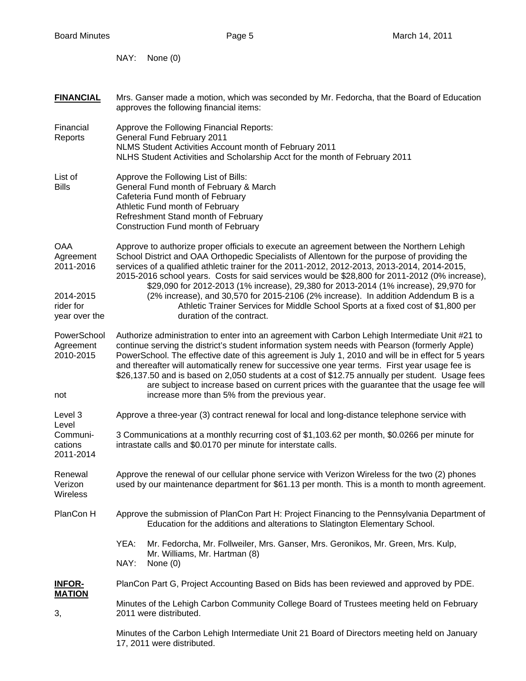**FINANCIAL** Mrs. Ganser made a motion, which was seconded by Mr. Fedorcha, that the Board of Education

NAY: None (0)

 approves the following financial items: Financial Approve the Following Financial Reports: Reports General Fund February 2011 NLMS Student Activities Account month of February 2011 NLHS Student Activities and Scholarship Acct for the month of February 2011 List of **Approve the Following List of Bills:** Bills General Fund month of February & March Cafeteria Fund month of February Athletic Fund month of February Refreshment Stand month of February Construction Fund month of February OAA Approve to authorize proper officials to execute an agreement between the Northern Lehigh Agreement School District and OAA Orthopedic Specialists of Allentown for the purpose of providing the 2011-2016 services of a qualified athletic trainer for the 2011-2012, 2012-2013, 2013-2014, 2014-2015, 2015-2016 school years. Costs for said services would be \$28,800 for 2011-2012 (0% increase), \$29,090 for 2012-2013 (1% increase), 29,380 for 2013-2014 (1% increase), 29,970 for 2014-2015 (2% increase), and 30,570 for 2015-2106 (2% increase). In addition Addendum B is a rider for Athletic Trainer Services for Middle School Sports at a fixed cost of \$1,800 per year over the duration of the contract. PowerSchool Authorize administration to enter into an agreement with Carbon Lehigh Intermediate Unit #21 to Agreement continue serving the district's student information system needs with Pearson (formerly Apple) 2010-2015 PowerSchool. The effective date of this agreement is July 1, 2010 and will be in effect for 5 years and thereafter will automatically renew for successive one year terms. First year usage fee is \$26,137.50 and is based on 2,050 students at a cost of \$12.75 annually per student. Usage fees are subject to increase based on current prices with the guarantee that the usage fee will not increase more than 5% from the previous year. Level 3 Approve a three-year (3) contract renewal for local and long-distance telephone service with Level Communi- 3 Communications at a monthly recurring cost of \$1,103.62 per month, \$0.0266 per minute for cations intrastate calls and \$0.0170 per minute for interstate calls. 2011-2014 Renewal Approve the renewal of our cellular phone service with Verizon Wireless for the two (2) phones Verizon used by our maintenance department for \$61.13 per month. This is a month to month agreement. **Wireless** PlanCon H Approve the submission of PlanCon Part H: Project Financing to the Pennsylvania Department of Education for the additions and alterations to Slatington Elementary School. YEA: Mr. Fedorcha, Mr. Follweiler, Mrs. Ganser, Mrs. Geronikos, Mr. Green, Mrs. Kulp, Mr. Williams, Mr. Hartman (8) NAY: None (0)

**INFOR-** PlanCon Part G, Project Accounting Based on Bids has been reviewed and approved by PDE. **MATION**

 Minutes of the Lehigh Carbon Community College Board of Trustees meeting held on February 3, 2011 were distributed.

> Minutes of the Carbon Lehigh Intermediate Unit 21 Board of Directors meeting held on January 17, 2011 were distributed.